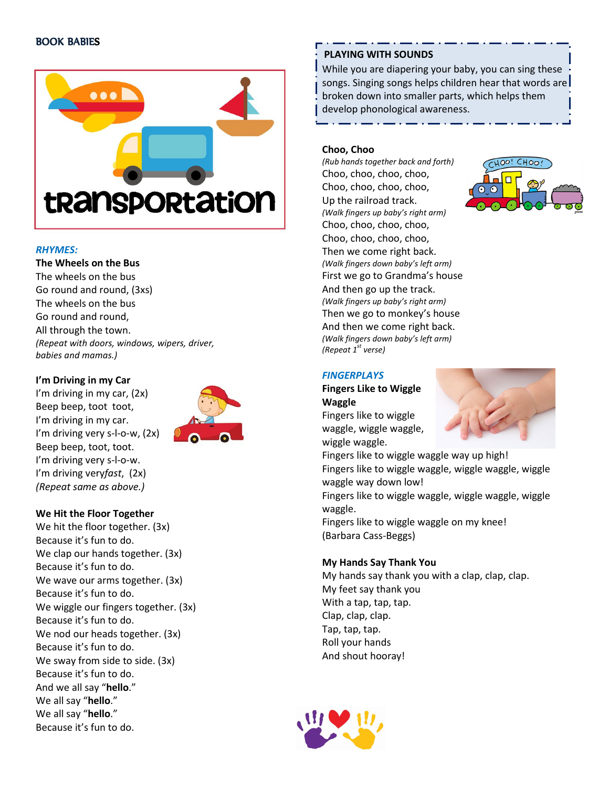### BOOK BABIES



#### RHYMES:

#### The Wheels on the Bus

The wheels on the bus Go round and round, (3xs) The wheels on the bus Go round and round, All through the town. (Repeat with doors, windows, wipers, driver, babies and mamas.)

#### I'm Driving in my Car

I'm driving in my car, (2x) Beep beep, toot toot, I'm driving in my car. I'm driving very s-l-o-w, (2x) Beep beep, toot, toot. I'm driving very s-l-o-w. I'm driving veryfast, (2x) (Repeat same as above.)



## We Hit the Floor Together

We hit the floor together. (3x) Because it's fun to do. We clap our hands together. (3x) Because it's fun to do. We wave our arms together. (3x) Because it's fun to do. We wiggle our fingers together. (3x) Because it's fun to do. We nod our heads together. (3x) Because it's fun to do. We sway from side to side. (3x) Because it's fun to do. And we all say "hello." We all say "hello." We all say "hello." Because it's fun to do.

## PLAYING WITH SOUNDS

While you are diapering your baby, you can sing these songs. Singing songs helps children hear that words are broken down into smaller parts, which helps them develop phonological awareness.

#### Choo, Choo

(Rub hands together back and forth) Choo, choo, choo, choo, Choo, choo, choo, choo, Up the railroad track. (Walk fingers up baby's right arm) Choo, choo, choo, choo, Choo, choo, choo, choo, Then we come right back. (Walk fingers down baby's left arm) First we go to Grandma's house And then go up the track. (Walk fingers up baby's right arm) Then we go to monkey's house And then we come right back. (Walk fingers down baby's left arm) (Repeat  $1<sup>st</sup>$  verse)



#### **FINGERPLAYS**

Fingers Like to Wiggle Waggle

Fingers like to wiggle waggle, wiggle waggle, wiggle waggle.



Fingers like to wiggle waggle way up high! Fingers like to wiggle waggle, wiggle waggle, wiggle waggle way down low! Fingers like to wiggle waggle, wiggle waggle, wiggle waggle. Fingers like to wiggle waggle on my knee! (Barbara Cass-Beggs)

#### My Hands Say Thank You

My hands say thank you with a clap, clap, clap. My feet say thank you With a tap, tap, tap. Clap, clap, clap. Tap, tap, tap. Roll your hands And shout hooray!